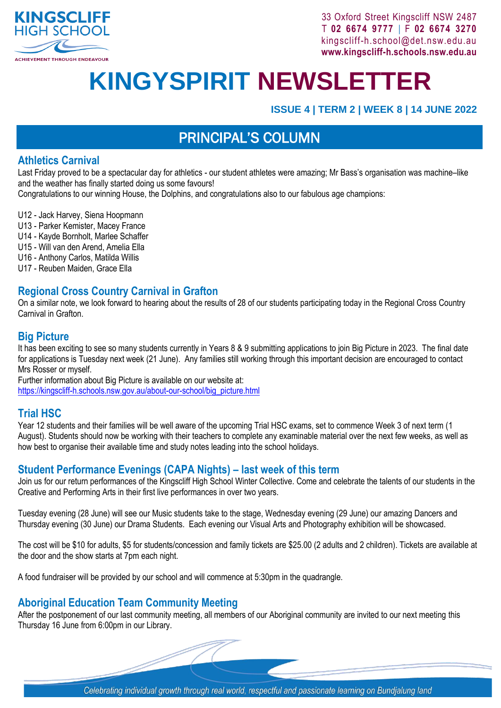

33 Oxford Street Kingscliff NSW 2487 T **02 6674 9777** | F **02 6674 3270** [kingscliff-h.school@det.nsw.edu.au](mailto:kingscliff-h.school@det.nsw.edu.au) **[www.kingscliff-h.schools.nsw.edu.au](http://www.kingscliff-h.schools.nsw.edu.au/)** 

# **KINGYSPIRIT NEWSLETTER**

**ISSUE 4 | TERM 2 | WEEK 8 | 14 JUNE 2022**

## PRINCIPAL'S COLUMN

#### **Athletics Carnival**

Last Friday proved to be a spectacular day for athletics - our student athletes were amazing; Mr Bass's organisation was machine–like and the weather has finally started doing us some favours!

Congratulations to our winning House, the Dolphins, and congratulations also to our fabulous age champions:

- U12 Jack Harvey, Siena Hoopmann
- U13 Parker Kemister, Macey France
- U14 Kayde Bornholt, Marlee Schaffer
- U15 Will van den Arend, Amelia Ella
- U16 Anthony Carlos, Matilda Willis
- U17 Reuben Maiden, Grace Ella

#### **Regional Cross Country Carnival in Grafton**

On a similar note, we look forward to hearing about the results of 28 of our students participating today in the Regional Cross Country Carnival in Grafton.

#### **Big Picture**

It has been exciting to see so many students currently in Years 8 & 9 submitting applications to join Big Picture in 2023. The final date for applications is Tuesday next week (21 June). Any families still working through this important decision are encouraged to contact Mrs Rosser or myself.

Further information about Big Picture is available on our website at: [https://kingscliff-h.schools.nsw.gov.au/about-our-school/big\\_picture.html](https://kingscliff-h.schools.nsw.gov.au/about-our-school/big_picture.html)

#### **Trial HSC**

Year 12 students and their families will be well aware of the upcoming Trial HSC exams, set to commence Week 3 of next term (1 August). Students should now be working with their teachers to complete any examinable material over the next few weeks, as well as how best to organise their available time and study notes leading into the school holidays.

#### **Student Performance Evenings (CAPA Nights) – last week of this term**

Join us for our return performances of the Kingscliff High School Winter Collective. Come and celebrate the talents of our students in the Creative and Performing Arts in their first live performances in over two years.

Tuesday evening (28 June) will see our Music students take to the stage, Wednesday evening (29 June) our amazing Dancers and Thursday evening (30 June) our Drama Students. Each evening our Visual Arts and Photography exhibition will be showcased.

The cost will be \$10 for adults, \$5 for students/concession and family tickets are \$25.00 (2 adults and 2 children). Tickets are available at the door and the show starts at 7pm each night.

A food fundraiser will be provided by our school and will commence at 5:30pm in the quadrangle.

#### **Aboriginal Education Team Community Meeting**

After the postponement of our last community meeting, all members of our Aboriginal community are invited to our next meeting this Thursday 16 June from 6:00pm in our Library.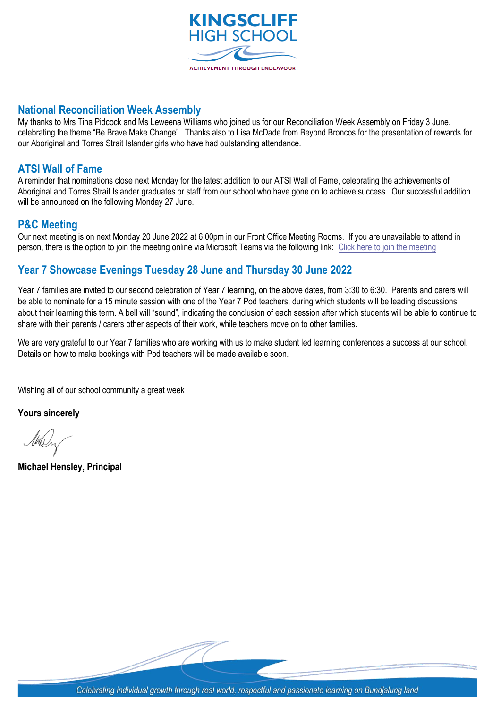

#### **National Reconciliation Week Assembly**

My thanks to Mrs Tina Pidcock and Ms Leweena Williams who joined us for our Reconciliation Week Assembly on Friday 3 June, celebrating the theme "Be Brave Make Change". Thanks also to Lisa McDade from Beyond Broncos for the presentation of rewards for our Aboriginal and Torres Strait Islander girls who have had outstanding attendance.

#### **ATSI Wall of Fame**

A reminder that nominations close next Monday for the latest addition to our ATSI Wall of Fame, celebrating the achievements of Aboriginal and Torres Strait Islander graduates or staff from our school who have gone on to achieve success. Our successful addition will be announced on the following Monday 27 June.

#### **P&C Meeting**

Our next meeting is on next Monday 20 June 2022 at 6:00pm in our Front Office Meeting Rooms. If you are unavailable to attend in person, there is the option to join the meeting online via Microsoft Teams via the following link: [Click here to join the meeting](https://teams.microsoft.com/l/meetup-join/19%3ameeting_MzkzMzhjZDUtYTdiNS00ZDE1LTkxNTYtODBlMzExMjYyZGVm%40thread.v2/0?context=%7b%22Tid%22%3a%2205a0e69a-418a-47c1-9c25-9387261bf991%22%2c%22Oid%22%3a%22051aa3a6-c680-4caf-a2da-84ce68970b50%22%7d)

#### **Year 7 Showcase Evenings Tuesday 28 June and Thursday 30 June 2022**

Year 7 families are invited to our second celebration of Year 7 learning, on the above dates, from 3:30 to 6:30. Parents and carers will be able to nominate for a 15 minute session with one of the Year 7 Pod teachers, during which students will be leading discussions about their learning this term. A bell will "sound", indicating the conclusion of each session after which students will be able to continue to share with their parents / carers other aspects of their work, while teachers move on to other families.

We are very grateful to our Year 7 families who are working with us to make student led learning conferences a success at our school. Details on how to make bookings with Pod teachers will be made available soon.

Wishing all of our school community a great week

**Yours sincerely**

**Michael Hensley, Principal**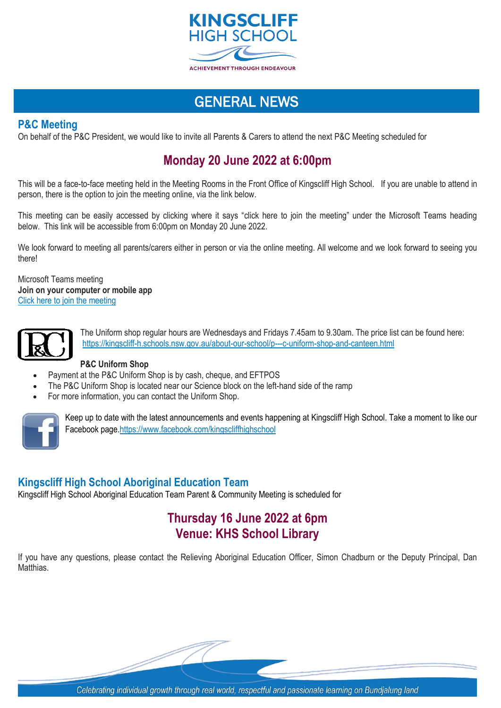

### GENERAL NEWS

#### **P&C Meeting**

On behalf of the P&C President, we would like to invite all Parents & Carers to attend the next P&C Meeting scheduled for

#### **Monday 20 June 2022 at 6:00pm**

This will be a face-to-face meeting held in the Meeting Rooms in the Front Office of Kingscliff High School. If you are unable to attend in person, there is the option to join the meeting online, via the link below.

This meeting can be easily accessed by clicking where it says "click here to join the meeting" under the Microsoft Teams heading below. This link will be accessible from 6:00pm on Monday 20 June 2022.

We look forward to meeting all parents/carers either in person or via the online meeting. All welcome and we look forward to seeing you there!

Microsoft Teams meeting **Join on your computer or mobile app** Click here to join the [meeting](https://teams.microsoft.com/l/meetup-join/19%3ameeting_MzkzMzhjZDUtYTdiNS00ZDE1LTkxNTYtODBlMzExMjYyZGVm%40thread.v2/0?context=%7b%22Tid%22%3a%2205a0e69a-418a-47c1-9c25-9387261bf991%22%2c%22Oid%22%3a%22051aa3a6-c680-4caf-a2da-84ce68970b50%22%7d)



The Uniform shop regular hours are Wednesdays and Fridays 7.45am to 9.30am. The price list can be found here: <https://kingscliff-h.schools.nsw.gov.au/about-our-school/p---c-uniform-shop-and-canteen.html>

#### **P&C Uniform Shop**

- Payment at the P&C Uniform Shop is by cash, cheque, and EFTPOS
- The P&C Uniform Shop is located near our Science block on the left-hand side of the ramp
- For more information, you can contact the Uniform Shop.



Keep up to date with the latest announcements and events happening at Kingscliff High School. Take a moment to like our Facebook page[.https://www.facebook.com/kingscliffhighschool](https://www.facebook.com/kingscliffhighschool)

#### **Kingscliff High School Aboriginal Education Team**

Kingscliff High School Aboriginal Education Team Parent & Community Meeting is scheduled for

#### **Thursday 16 June 2022 at 6pm Venue: KHS School Library**

If you have any questions, please contact the Relieving Aboriginal Education Officer, Simon Chadburn or the Deputy Principal, Dan Matthias.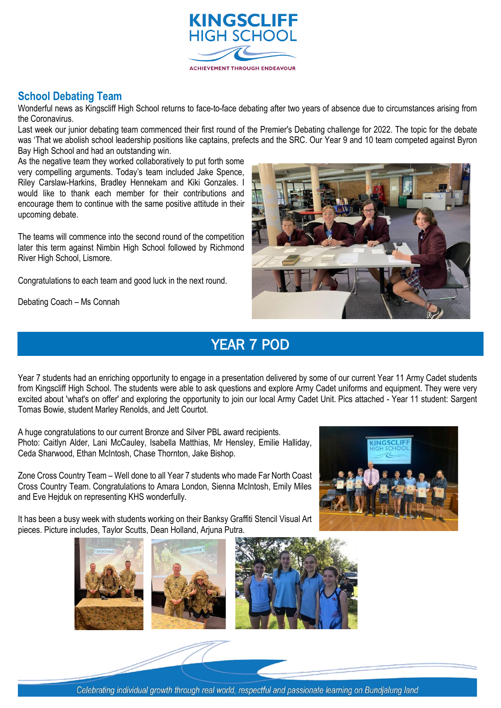

#### **School Debating Team**

Wonderful news as Kingscliff High School returns to face-to-face debating after two years of absence due to circumstances arising from the Coronavirus.

Last week our junior debating team commenced their first round of the Premier's Debating challenge for 2022. The topic for the debate was 'That we abolish school leadership positions like captains, prefects and the SRC. Our Year 9 and 10 team competed against Byron Bay High School and had an outstanding win.

As the negative team they worked collaboratively to put forth some very compelling arguments. Today's team included Jake Spence, Riley Carslaw-Harkins, Bradley Hennekam and Kiki Gonzales. I would like to thank each member for their contributions and encourage them to continue with the same positive attitude in their upcoming debate.

The teams will commence into the second round of the competition later this term against Nimbin High School followed by Richmond River High School, Lismore.

Congratulations to each team and good luck in the next round.

Debating Coach – Ms Connah



## YEAR 7 POD

Year 7 students had an enriching opportunity to engage in a presentation delivered by some of our current Year 11 Army Cadet students from Kingscliff High School. The students were able to ask questions and explore Army Cadet uniforms and equipment. They were very excited about 'what's on offer' and exploring the opportunity to join our local Army Cadet Unit. Pics attached - Year 11 student: Sargent Tomas Bowie, student Marley Renolds, and Jett Courtot.

A huge congratulations to our current Bronze and Silver PBL award recipients. Photo: Caitlyn Alder, Lani McCauley, Isabella Matthias, Mr Hensley, Emilie Halliday, Ceda Sharwood, Ethan McIntosh, Chase Thornton, Jake Bishop.

Zone Cross Country Team – Well done to all Year 7 students who made Far North Coast Cross Country Team. Congratulations to Amara London, Sienna McIntosh, Emily Miles and Eve Hejduk on representing KHS wonderfully.



It has been a busy week with students working on their Banksy Graffiti Stencil Visual Art pieces. Picture includes, Taylor Scutts, Dean Holland, Arjuna Putra.





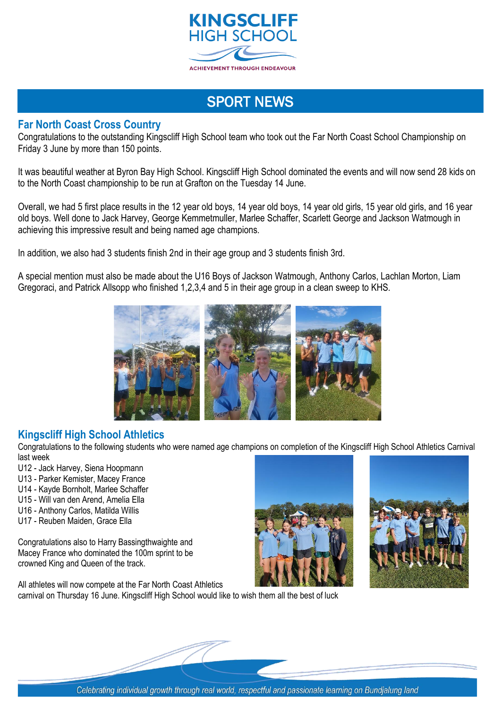

## SPORT NEWS

#### **Far North Coast Cross Country**

Congratulations to the outstanding Kingscliff High School team who took out the Far North Coast School Championship on Friday 3 June by more than 150 points.

It was beautiful weather at Byron Bay High School. Kingscliff High School dominated the events and will now send 28 kids on to the North Coast championship to be run at Grafton on the Tuesday 14 June.

Overall, we had 5 first place results in the 12 year old boys, 14 year old boys, 14 year old girls, 15 year old girls, and 16 year old boys. Well done to Jack Harvey, George Kemmetmuller, Marlee Schaffer, Scarlett George and Jackson Watmough in achieving this impressive result and being named age champions.

In addition, we also had 3 students finish 2nd in their age group and 3 students finish 3rd.

A special mention must also be made about the U16 Boys of Jackson Watmough, Anthony Carlos, Lachlan Morton, Liam Gregoraci, and Patrick Allsopp who finished 1,2,3,4 and 5 in their age group in a clean sweep to KHS.



#### **Kingscliff High School Athletics**

Congratulations to the following students who were named age champions on completion of the Kingscliff High School Athletics Carnival last week

- U12 Jack Harvey, Siena Hoopmann
- U13 Parker Kemister, Macey France
- U14 Kayde Bornholt, Marlee Schaffer
- U15 Will van den Arend, Amelia Ella
- U16 Anthony Carlos, Matilda Willis
- U17 Reuben Maiden, Grace Ella

Congratulations also to Harry Bassingthwaighte and Macey France who dominated the 100m sprint to be crowned King and Queen of the track.

All athletes will now compete at the Far North Coast Athletics carnival on Thursday 16 June. Kingscliff High School would like to wish them all the best of luck



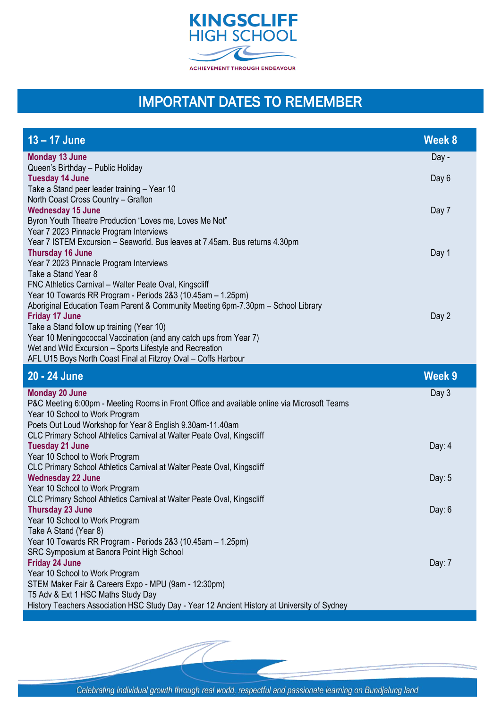

## IMPORTANT DATES TO REMEMBER

| 13 - 17 June                                                                                                                                                                                                                                                                                                                                                                                                                                                                       | Week 8         |
|------------------------------------------------------------------------------------------------------------------------------------------------------------------------------------------------------------------------------------------------------------------------------------------------------------------------------------------------------------------------------------------------------------------------------------------------------------------------------------|----------------|
| <b>Monday 13 June</b><br>Queen's Birthday - Public Holiday<br><b>Tuesday 14 June</b>                                                                                                                                                                                                                                                                                                                                                                                               | Day -<br>Day 6 |
| Take a Stand peer leader training - Year 10<br>North Coast Cross Country - Grafton<br><b>Wednesday 15 June</b><br>Byron Youth Theatre Production "Loves me, Loves Me Not"                                                                                                                                                                                                                                                                                                          | Day 7          |
| Year 7 2023 Pinnacle Program Interviews<br>Year 7 ISTEM Excursion - Seaworld. Bus leaves at 7.45am. Bus returns 4.30pm<br><b>Thursday 16 June</b><br>Year 7 2023 Pinnacle Program Interviews<br>Take a Stand Year 8                                                                                                                                                                                                                                                                | Day 1          |
| FNC Athletics Carnival - Walter Peate Oval, Kingscliff<br>Year 10 Towards RR Program - Periods 2&3 (10.45am - 1.25pm)<br>Aboriginal Education Team Parent & Community Meeting 6pm-7.30pm - School Library<br><b>Friday 17 June</b><br>Take a Stand follow up training (Year 10)<br>Year 10 Meningococcal Vaccination (and any catch ups from Year 7)<br>Wet and Wild Excursion - Sports Lifestyle and Recreation<br>AFL U15 Boys North Coast Final at Fitzroy Oval - Coffs Harbour | Day 2          |
| 20 - 24 June                                                                                                                                                                                                                                                                                                                                                                                                                                                                       | Week 9         |
| <b>Monday 20 June</b><br>P&C Meeting 6:00pm - Meeting Rooms in Front Office and available online via Microsoft Teams<br>Year 10 School to Work Program<br>Poets Out Loud Workshop for Year 8 English 9.30am-11.40am<br>CLC Primary School Athletics Carnival at Walter Peate Oval, Kingscliff                                                                                                                                                                                      | Day 3          |
| <b>Tuesday 21 June</b><br>Year 10 School to Work Program                                                                                                                                                                                                                                                                                                                                                                                                                           | Day: $4$       |
| CLC Primary School Athletics Carnival at Walter Peate Oval, Kingscliff<br><b>Wednesday 22 June</b><br>Year 10 School to Work Program                                                                                                                                                                                                                                                                                                                                               | Day: 5         |
| CLC Primary School Athletics Carnival at Walter Peate Oval, Kingscliff<br><b>Thursday 23 June</b><br>Year 10 School to Work Program<br>Take A Stand (Year 8)<br>Year 10 Towards RR Program - Periods 2&3 (10.45am - 1.25pm)                                                                                                                                                                                                                                                        | Day: $6$       |
| SRC Symposium at Banora Point High School<br><b>Friday 24 June</b><br>Year 10 School to Work Program<br>STEM Maker Fair & Careers Expo - MPU (9am - 12:30pm)<br>T5 Adv & Ext 1 HSC Maths Study Day                                                                                                                                                                                                                                                                                 | Day: 7         |
| History Teachers Association HSC Study Day - Year 12 Ancient History at University of Sydney                                                                                                                                                                                                                                                                                                                                                                                       |                |